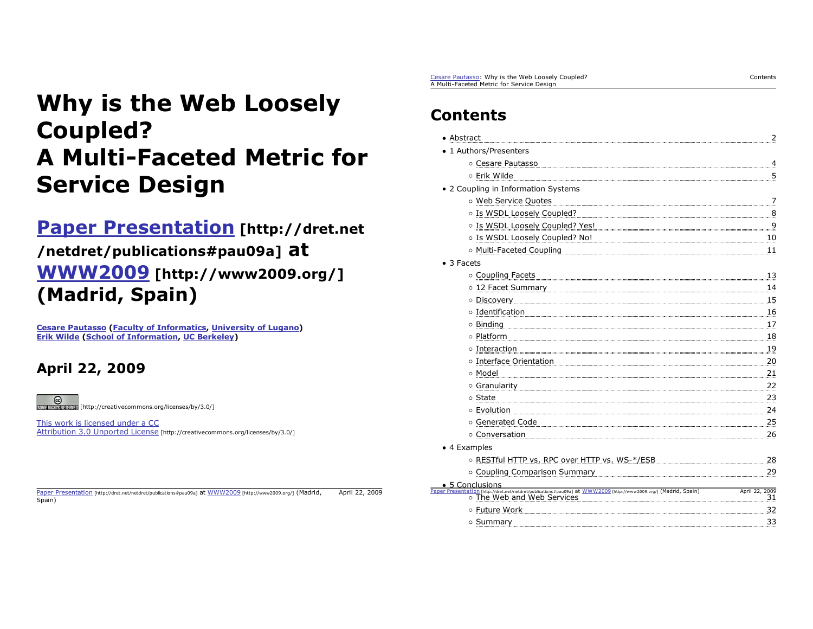# **Why is the Web Loosely Coupled? A Multi-Faceted Metric forService Design**

# **Paper Presentation [http://dret.net /netdret/publications#pau09a] at WWW2009 [http://www2009.org/] (Madrid, Spain)**

**Cesare Pautasso (Faculty of Informatics, University of Lugano) Erik Wilde (School of Information, UC Berkeley)**

# **April 22, 2009**

 $\circledcirc$ **ECREMENT EXAMPLE [http://creativecommons.org/licenses/by/3.0/]** 

This work is licensed under a CCAttribution 3.0 Unported License [http://creativecommons.org/licenses/by/3.0/]

Paper Presentation [http://dret.net/netdret/publications#pau09a] at WWW2009 [http://www2009.org/] (Madrid, April 22, 2009 Spain)

Cesare Pautasso: Why is the Web Loosely Coupled? A Multi-Faceted Metric for Service Design

# **Contents**

| • Abstract                                                                                                                                                                                                                     | 2                          |
|--------------------------------------------------------------------------------------------------------------------------------------------------------------------------------------------------------------------------------|----------------------------|
| 1 Authors/Presenters                                                                                                                                                                                                           |                            |
| O Cesare Pautasso                                                                                                                                                                                                              | $\overline{4}$             |
| o Erik Wilde                                                                                                                                                                                                                   | $\overline{5}$             |
| • 2 Coupling in Information Systems                                                                                                                                                                                            |                            |
| o Web Service Quotes                                                                                                                                                                                                           | $\overline{z}$             |
| o Is WSDL Loosely Coupled?                                                                                                                                                                                                     | $\overset{8}{\phantom{1}}$ |
| o Is WSDL Loosely Coupled? Yes!                                                                                                                                                                                                | <u>. 9</u>                 |
|                                                                                                                                                                                                                                | 10                         |
|                                                                                                                                                                                                                                | $\overline{11}$            |
| $\bullet$ 3 Facets                                                                                                                                                                                                             |                            |
| o Coupling Facets                                                                                                                                                                                                              | 13                         |
| 0 12 Facet Summary <b>2008 - 2008 - 2014 12:50 Facet Summary</b> 2014 12:50 Facet Summary 2015                                                                                                                                 | .14                        |
| O Discovery and the contract of the contract of the contract of the contract of the contract of the contract of the contract of the contract of the contract of the contract of the contract of the contract of the contract o | $\frac{15}{2}$             |
| o Identification                                                                                                                                                                                                               | 16                         |
| 0 Binding 2008 2010 10:00 10:00 10:00 10:00 10:00 10:00 10:00 10:00 10:00 10:00 10:00 10:00 10:00 10:00 10:00 10:00 10:00 10:00 10:00 10:00 10:00 10:00 10:00 10:00 10:00 10:00 10:00 10:00 10:00 10:00 10:00 10:00 10:00 10:0 | 17                         |
| o Platform                                                                                                                                                                                                                     | 18                         |
| o Interaction                                                                                                                                                                                                                  | 19                         |
| o Interface Orientation                                                                                                                                                                                                        | 20                         |
| o Model                                                                                                                                                                                                                        | 21                         |
|                                                                                                                                                                                                                                | 22                         |
| o State                                                                                                                                                                                                                        | 23                         |
| ○ Evolution                                                                                                                                                                                                                    | . 24                       |
| o Generated Code                                                                                                                                                                                                               | 25                         |
| o Conversation                                                                                                                                                                                                                 | 26                         |
| • 4 Examples                                                                                                                                                                                                                   |                            |
| O RESTful HTTP vs. RPC over HTTP vs. WS-*/ESB                                                                                                                                                                                  | $_{28}$                    |
| o Coupling Comparison Summary [1994] [1994] [1994] [1995] [1995] [1995] [1996] [1995] [1996] [1996] [1996] [1996] [1996] [1996] [1996] [1996] [1996] [1996] [1996] [1996] [1996] [1996] [1996] [1996] [1996] [1996] [1996] [19 | 29                         |
| • 5 Conclusions<br>ation [http://dret.net/netdret/publications#pau09a] at WWW2009 [http://www2009.org/] (Madrid, Spain)                                                                                                        | April 22, 2009             |
| o The Web and Web Services                                                                                                                                                                                                     | $\mathbf{31}$              |
| ○ Future Work                                                                                                                                                                                                                  | 32                         |
| o Summary                                                                                                                                                                                                                      | 33                         |

Contents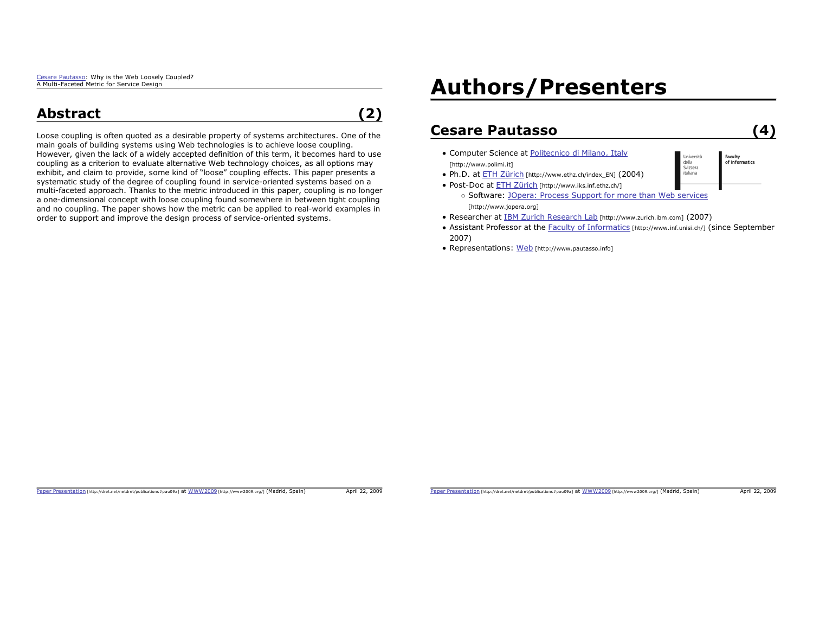## **Abstract**

**(2)**

Loose coupling is often quoted as a desirable property of systems architectures. One of the main goals of building systems using Web technologies is to achieve loose coupling. However, given the lack of a widely accepted definition of this term, it becomes hard to use coupling as a criterion to evaluate alternative Web technology choices, as all options may exhibit, and claim to provide, some kind of "loose" coupling effects. This paper presents a systematic study of the degree of coupling found in service-oriented systems based on a multi-faceted approach. Thanks to the metric introduced in this paper, coupling is no longer a one-dimensional concept with loose coupling found somewhere in between tight coupling and no coupling. The paper shows how the metric can be applied to real-world examples in order to support and improve the design process of service-oriented systems.

# **Authors/Presenters**

#### **Cesare Pautasso(4)**

- Computer Science at Politecnico di Milano, Italy
- [http://www.polimi.it] • Ph.D. at **ETH Zürich** [http://www.ethz.ch/index\_EN] (2004)
- Post-Doc at **ETH Zürich** [http://www.iks.inf.ethz.ch/]

o Software: JOpera: Process Support for more than Web services [http://www.jopera.org]

- Researcher at IBM Zurich Research Lab [http://www.zurich.ibm.com] (2007)
- Assistant Professor at the Faculty of Informatics [http://www.inf.unisi.ch/] (since September 2007)
- Representations: Web [http://www.pautasso.info]

Paper Presentation [http://dret.net/netdret/publications#pau09a] at WWW2009 [http://www2009.org/] (Madrid, Spain) April 22, 2009

Paper Presentation [http://dret.net/netdret/publications#pau09a] at WWW2009 [http://www2009.org/] (Madrid, Spain) April 22, 2009

**Faculty**<br>of Informatics

Liniversità della Svizzera italiana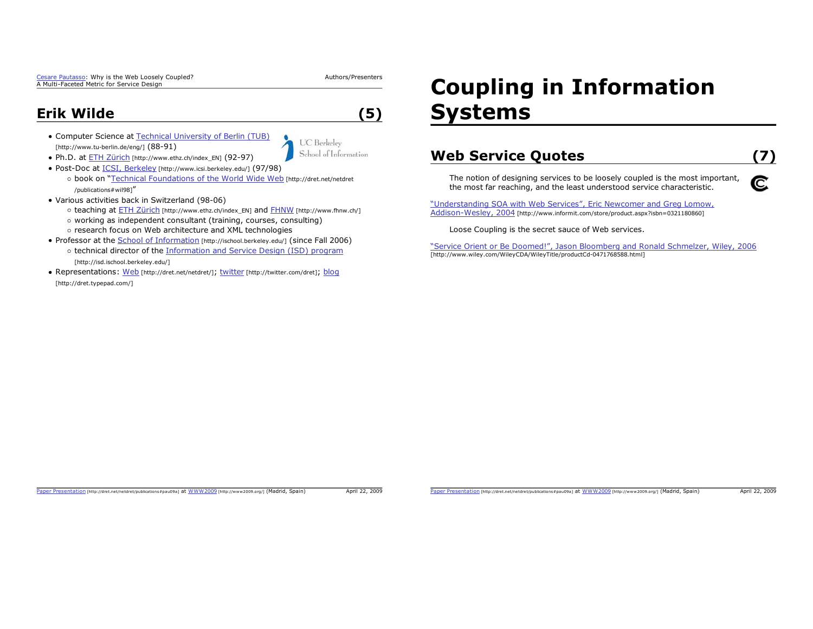Cesare Pautasso: Why is the Web Loosely Coupled? A Multi-Faceted Metric for Service Design

Authors/Presenters

**UC** Berkeley School of Information

**(5)**

## **Erik Wilde**

- Computer Science at Technical University of Berlin (TUB) [http://www.tu-berlin.de/eng/] (88-91)
- Ph.D. at ETH Zürich [http://www.ethz.ch/index\_EN] (92-97)
- Post-Doc at ICSI, Berkeley [http://www.icsi.berkeley.edu/] (97/98)
- o book on "Technical Foundations of the World Wide Web [http://dret.net/netdret /publications#wil98]"
- Various activities back in Switzerland (98-06)
	- o teaching at **ETH Zürich** [http://www.ethz.ch/index\_EN] and FHNW [http://www.fhnw.ch/]
	- working as independent consultant (training, courses, consulting)
	- o research focus on Web architecture and XML technologies
- Professor at the School of Information [http://ischool.berkeley.edu/] (since Fall 2006)
	- o technical director of the Information and Service Design (ISD) program [http://isd.ischool.berkeley.edu/]
- Representations: Web [http://dret.net/netdret/]; twitter [http://twitter.com/dret]; blog [http://dret.typepad.com/]

# **Coupling in Information Systems**

#### **Web Service Quotes (7)**

The notion of designing services to be loosely coupled is the most important, the most far reaching, and the least understood service characteristic.

"Understanding SOA with Web Services", Eric Newcomer and Greg Lomow, Addison-Wesley, 2004 [http://www.informit.com/store/product.aspx?isbn=0321180860]

Loose Coupling is the secret sauce of Web services.

"Service Orient or Be Doomed!", Jason Bloomberg and Ronald Schmelzer, Wiley, 2006 [http://www.wiley.com/WileyCDA/WileyTitle/productCd-0471768588.html]

#### Paper Presentation [http://dret.net/netdret/publications#pau09a] at WWW2009 [http://www2009.org/] (Madrid, Spain) April 22, 2009

Paper Presentation [http://dret.net/netdret/publications#pau09a] at WWW2009 [http://www2009.org/] (Madrid, Spain) April 22, 2009

# C.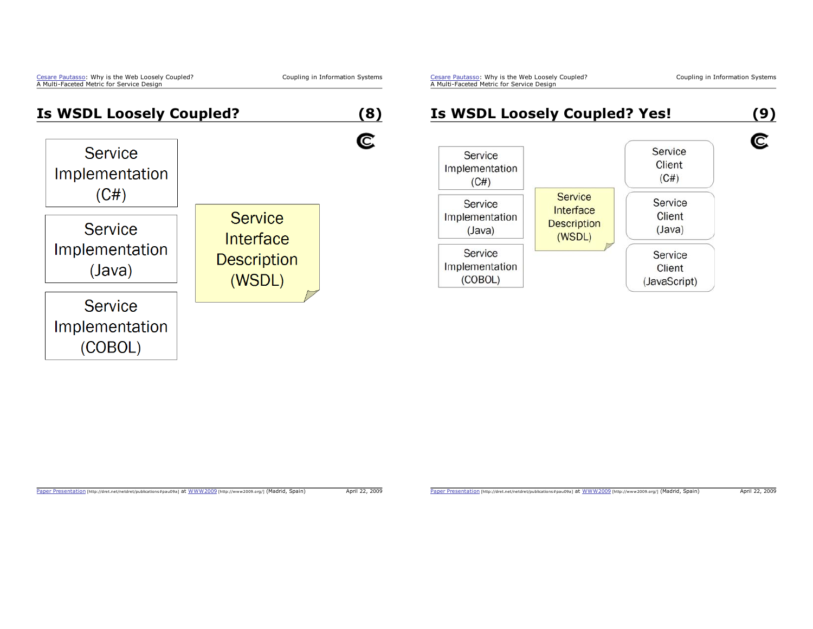Coupling in Information Systems

Cesare Pautasso: Why is the Web Loosely Coupled? A Multi-Faceted Metric for Service Design



#### Paper Presentation [http://dret.net/netdret/publications#pau09a] at WWW2009 [http://www2009.org/] (Madrid, Spain) April 22, 2009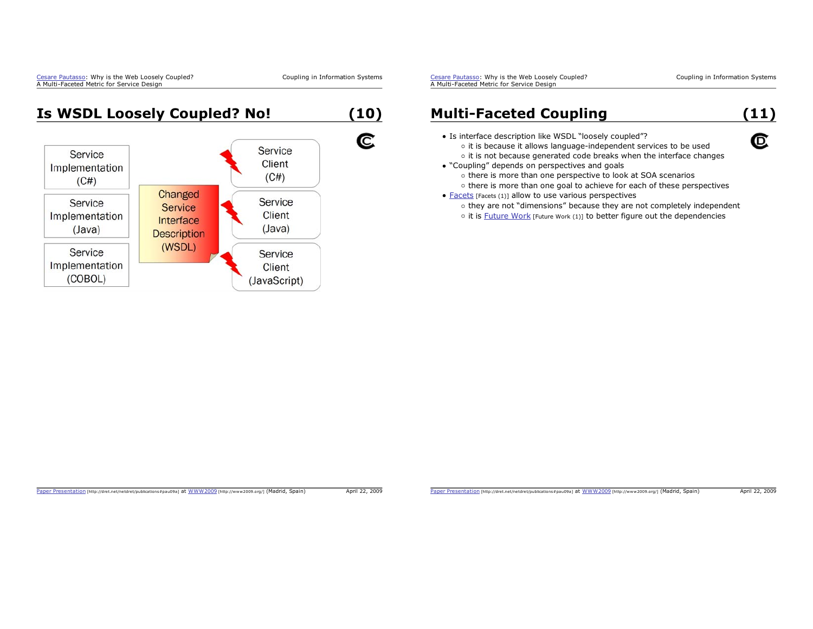Coupling in Information Systems

**Is WSDL Loosely Coupled? No! (10)** C Service Service Client Implementation  $(C#)$  $(C#)$ Changed Service Service Service Implementation Client Interface  $(Java)$  $(Java)$ **Description** (WSDL) Service Service Implementation Client (COBOL) (JavaScript)

Cesare Pautasso: Why is the Web Loosely Coupled? A Multi-Faceted Metric for Service Design

**(11)**

C

### **Multi-Faceted Coupling**

- Is interface description like WSDL "loosely coupled"?
	- o it is because it allows language-independent services to be used o it is not because generated code breaks when the interface changes
- "Coupling" depends on perspectives and goals
	- o there is more than one perspective to look at SOA scenarios o there is more than one goal to achieve for each of these perspectives
- Facets [Facets (1)] allow to use various perspectives
	- o they are not "dimensions" because they are not completely independent
	- $\circ$  it is Future Work [Future Work (1)] to better figure out the dependencies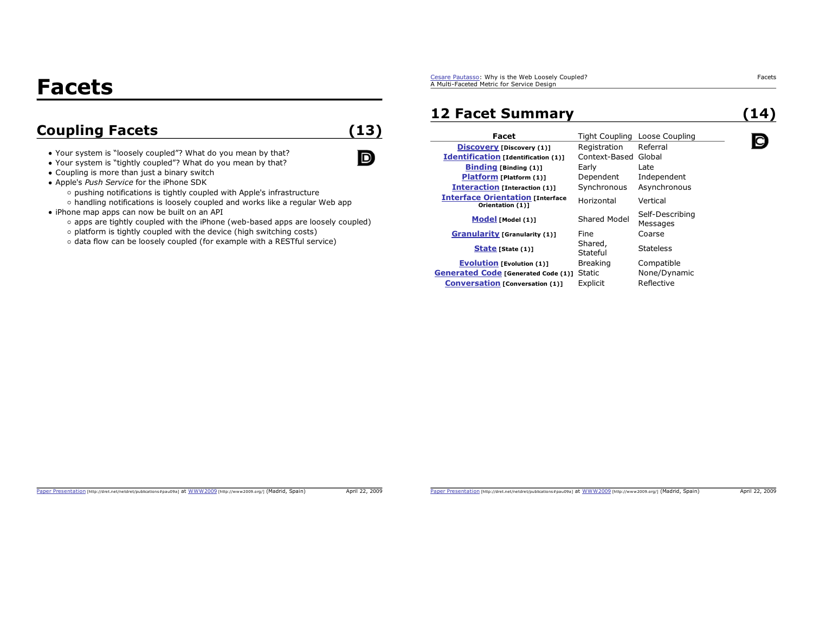# **Facets**

# **Coupling Facets (13)**

 $\Box$ 

- Your system is "loosely coupled"? What do you mean by that?
- Your system is "tightly coupled"? What do you mean by that?
- Coupling is more than just a binary switch
- Apple's *Push Service* for the iPhone SDK
	- o pushing notifications is tightly coupled with Apple's infrastructure
	- handling notifications is loosely coupled and works like a regular Web app
- iPhone map apps can now be built on an API
	- apps are tightly coupled with the iPhone (web-based apps are loosely coupled)
	- o platform is tightly coupled with the device (high switching costs)
	- $\circ$  data flow can be loosely coupled (for example with a RESTful service)

Cesare Pautasso: Why is the Web Loosely Coupled? A Multi-Faceted Metric for Service Design

### **12 Facet Summary**

**(14)**

Q

| Facet                                                       | Tight Coupling      | Loose Coupling              |
|-------------------------------------------------------------|---------------------|-----------------------------|
| <b>Discovery [Discovery (1)]</b>                            | Registration        | Referral                    |
| <b>Identification</b> [Identification (1)]                  | Context-Based       | Global                      |
| <b>Binding [Binding (1)]</b>                                | Early               | Late                        |
| Platform [Platform (1)]                                     | Dependent           | Independent                 |
| <b>Interaction [Interaction (1)]</b>                        | Synchronous         | Asynchronous                |
| <b>Interface Orientation [Interface</b><br>Orientation (1)] | Horizontal          | Vertical                    |
| Model [Model (1)]                                           | Shared Model        | Self-Describing<br>Messages |
| <b>Granularity [Granularity (1)]</b>                        | Fine                | Coarse                      |
| State [State (1)]                                           | Shared,<br>Stateful | <b>Stateless</b>            |
| <b>Evolution</b> [Evolution (1)]                            | <b>Breaking</b>     | Compatible                  |
| <b>Generated Code [Generated Code (1)]</b>                  | Static              | None/Dynamic                |
| <b>Conversation [Conversation (1)]</b>                      | Explicit            | Reflective                  |

Paper Presentation [http://dret.net/netdret/publications#pau09a] at WWW2009 [http://www2009.org/] (Madrid, Spain) April 22, 2009

Facets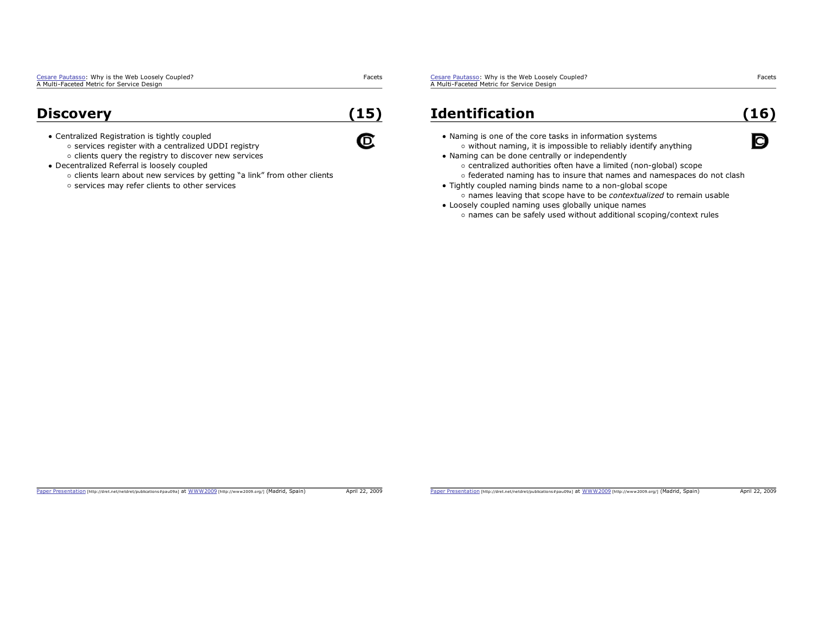### **Discovery**

Centralized Registration is tightly coupled

- o services register with a centralized UDDI registry
- $\circ$  clients query the registry to discover new services
- Decentralized Referral is loosely coupled
	- o clients learn about new services by getting "a link" from other clients
	- o services may refer clients to other services

Cesare Pautasso: Why is the Web Loosely Coupled? A Multi-Faceted Metric for Service Design

## **Identification**

- Naming is one of the core tasks in information systems  $\circ$  without naming, it is impossible to reliably identify anything
- Naming can be done centrally or independently
	- centralized authorities often have a limited (non-global) scope
	- o federated naming has to insure that names and namespaces do not clash
- Tightly coupled naming binds name to a non-global scope names leaving that scope have to be *contextualized* to remain usable
- Loosely coupled naming uses globally unique names names can be safely used without additional scoping/context rules

Paper Presentation [http://dret.net/netdret/publications#pau09a] at WWW2009 [http://www2009.org/] (Madrid, Spain) April 22, 2009

Facets

**(15)**

C

Paper Presentation [http://dret.net/netdret/publications#pau09a] at WWW2009 [http://www2009.org/] (Madrid, Spain) April 22, 2009

Facets

**(16)**

Q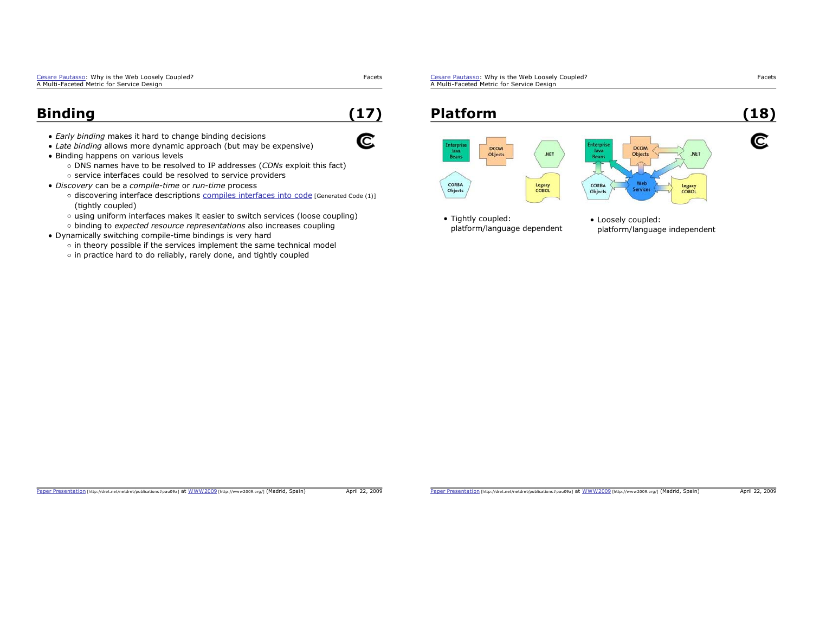| Cesare Pautasso: Why is the Web Loosely Coupled? | Facets |
|--------------------------------------------------|--------|
| A Multi-Faceted Metric for Service Design        |        |

### **Binding**

*Early binding* makes it hard to change binding decisions

- *Late binding* allows more dynamic approach (but may be expensive)
- Binding happens on various levels
	- DNS names have to be resolved to IP addresses (*CDNs* exploit this fact) o service interfaces could be resolved to service providers
- *Discovery* can be a *compile-time* or *run-time* process
	- o discovering interface descriptions compiles interfaces into code [Generated Code (1)] (tightly coupled)
	- using uniform interfaces makes it easier to switch services (loose coupling)
	- binding to *expected resource representations* also increases coupling
- Dynamically switching compile-time bindings is very hard
	- $\circ$  in theory possible if the services implement the same technical model
	- o in practice hard to do reliably, rarely done, and tightly coupled

Cesare Pautasso: Why is the Web Loosely Coupled? A Multi-Faceted Metric for Service Design



Paper Presentation [http://dret.net/netdret/publications#pau09a] at WWW2009 [http://www2009.org/] (Madrid, Spain) April 22, 2009

**(17)**

C

Paper Presentation [http://dret.net/netdret/publications#pau09a] at WWW2009 [http://www2009.org/] (Madrid, Spain) April 22, 2009

Facets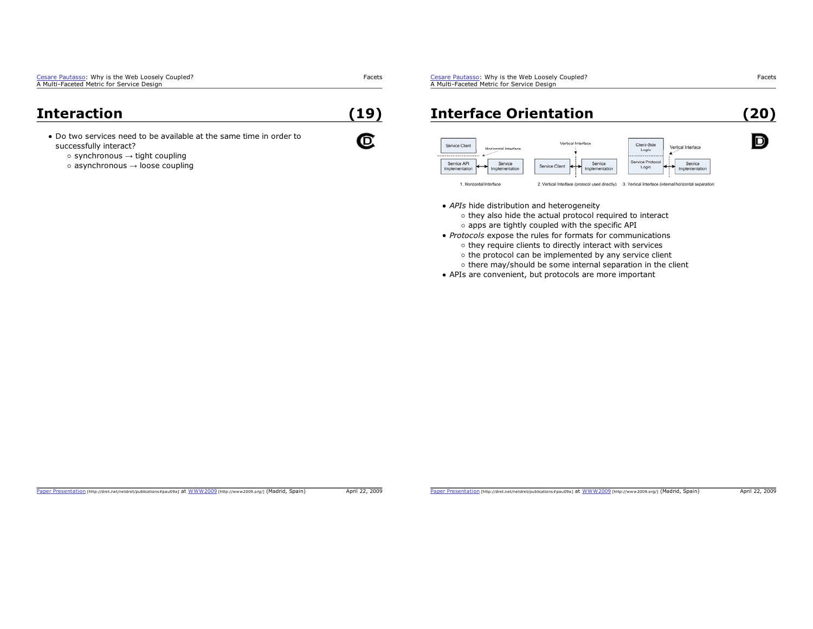| Cesare Pautasso: Why is the Web Loosely Coupled? |  |
|--------------------------------------------------|--|
| A Multi-Faceted Metric for Service Design        |  |

#### **Interaction**

- Do two services need to be available at the same time in order tosuccessfully interact?
	- synchronous  $\rightarrow$  tight coupling
	- asynchronous  $\rightarrow$  loose coupling

Cesare Pautasso: Why is the Web Loosely Coupled? A Multi-Faceted Metric for Service Design

## **Interface Orientation**



- *APIs* hide distribution and heterogeneity
	- o they also hide the actual protocol required to interact  $\circ$  apps are tightly coupled with the specific API
- *Protocols* expose the rules for formats for communications  $\circ$  they require clients to directly interact with services
	- $\circ$  the protocol can be implemented by any service client
	- $\circ$  there may/should be some internal separation in the client
- APIs are convenient, but protocols are more important

Facets

D

Facets

**(19)**

C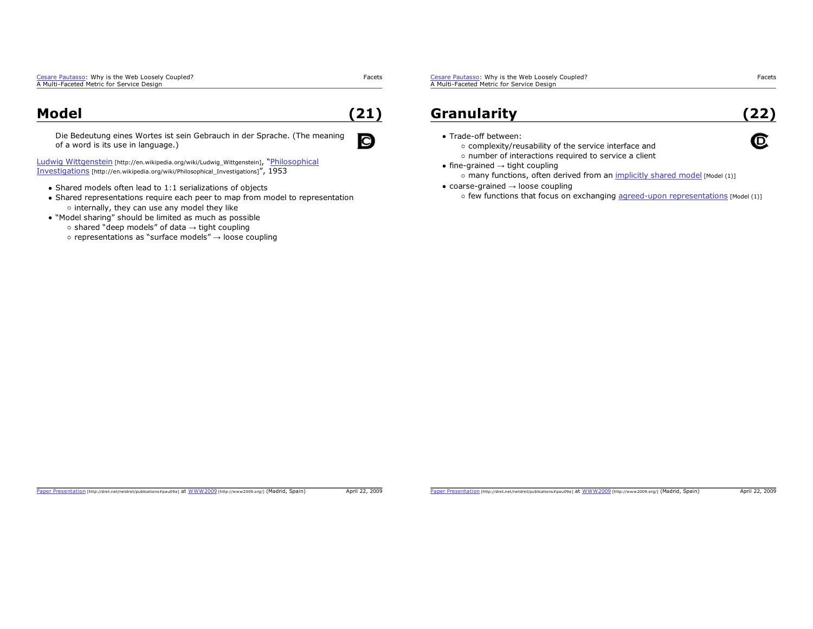#### **Model**

**(21)**

C

Facets

Die Bedeutung eines Wortes ist sein Gebrauch in der Sprache. (The meaning of a word is its use in language.)

Ludwig Wittgenstein [http://en.wikipedia.org/wiki/Ludwig\_Wittgenstein], "Philosophical Investigations [http://en.wikipedia.org/wiki/Philosophical\_Investigations]", 1953

- Shared models often lead to 1:1 serializations of objects
- Shared representations require each peer to map from model to representation  $\circ$  internally, they can use any model they like
- "Model sharing" should be limited as much as possible
	- shared "deep models" of data  $\rightarrow$  tight coupling
	- representations as "surface models"  $\rightarrow$  loose coupling

Cesare Pautasso: Why is the Web Loosely Coupled? A Multi-Faceted Metric for Service Design

### **Granularity**

**(22)**

C

• Trade-off between:

complexity/reusability of the service interface and

- o number of interactions required to service a client
- fine-grained  $\rightarrow$  tight coupling o many functions, often derived from an implicitly shared model [Model (1)]
- coarse-grained  $\rightarrow$  loose coupling
	- o few functions that focus on exchanging agreed-upon representations [Model (1)]

Paper Presentation [http://dret.net/netdret/publications#pau09a] at WWW2009 [http://www2009.org/] (Madrid, Spain) April 22, 2009

Facets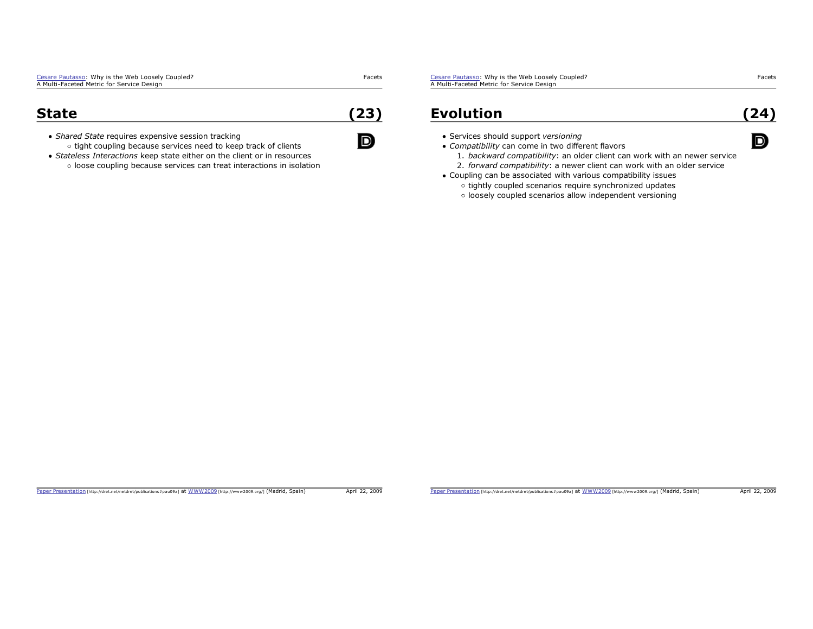Facets

**(23)**

 $\blacksquare$ 

#### **State**

*Shared State* requires expensive session tracking o tight coupling because services need to keep track of clients

*Stateless Interactions* keep state either on the client or in resources o loose coupling because services can treat interactions in isolation Cesare Pautasso: Why is the Web Loosely Coupled? A Multi-Faceted Metric for Service Design

### **Evolution**

- Services should support *versioning*
- *Compatibility* can come in two different flavors
	- 1. *backward compatibility*: an older client can work with an newer service
	- 2. *forward compatibility*: a newer client can work with an older service
- Coupling can be associated with various compatibility issues
	- o tightly coupled scenarios require synchronized updates
	- o loosely coupled scenarios allow independent versioning

Paper Presentation [http://dret.net/netdret/publications#pau09a] at WWW2009 [http://www2009.org/] (Madrid, Spain) April 22, 2009

Facets

**(24)**

D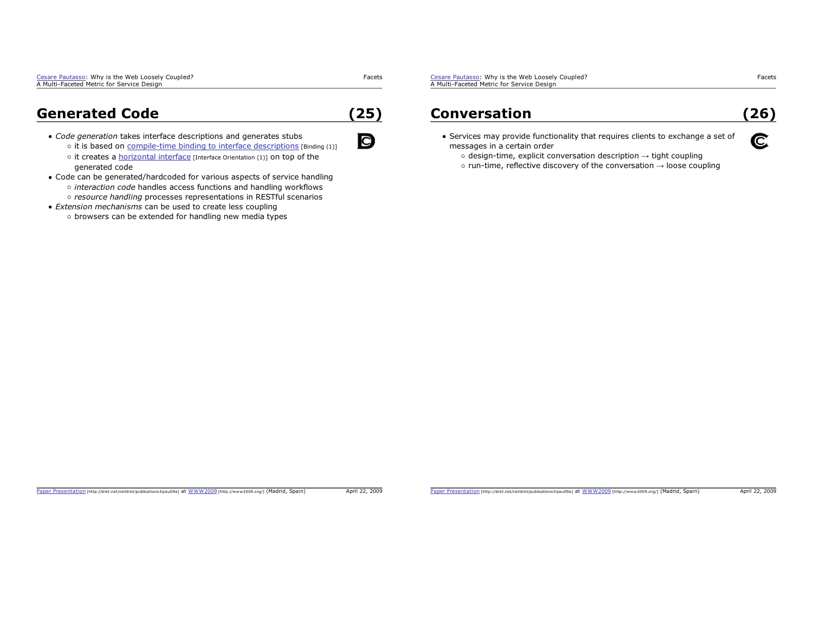### **Generated Code**

- *Code generation* takes interface descriptions and generates stubs
	- $\circ$  it is based on compile-time binding to interface descriptions [Binding (1)]
	- $\circ$  it creates a horizontal interface [Interface Orientation (1)] on top of the generated code
- Code can be generated/hardcoded for various aspects of service handling
	- *interaction code* handles access functions and handling workflows *resource handling* processes representations in RESTful scenarios
- *Extension mechanisms* can be used to create less coupling

#### $\circ$  browsers can be extended for handling new media types

Cesare Pautasso: Why is the Web Loosely Coupled? A Multi-Faceted Metric for Service Design

#### **Conversation**

# **(26)**

- Services may provide functionality that requires clients to exchange a set of messages in a certain order
	- design-time, explicit conversation description  $\rightarrow$  tight coupling
	- run-time, reflective discovery of the conversation  $\rightarrow$  loose coupling

Facets

**(25)**

C

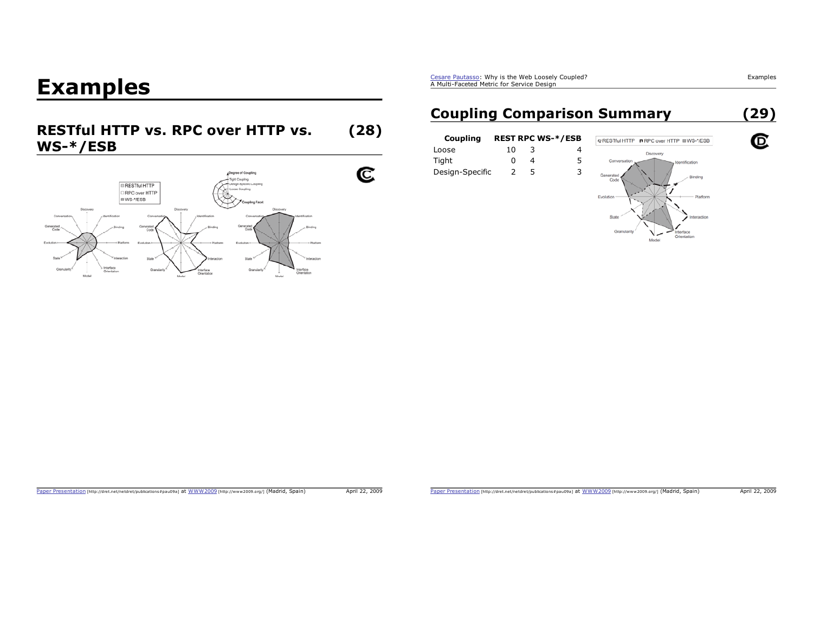# **Examples**

#### **RESTful HTTP vs. RPC over HTTP vs. (28) WS-\*/ESB**



Cesare Pautasso: Why is the Web Loosely Coupled? A Multi-Faceted Metric for Service Design

# **Coupling Comparison Summary**

| Coupling        |    |   | <b>REST RPC WS-*/ESB</b> |
|-----------------|----|---|--------------------------|
| Loose           | 10 | 3 |                          |
| Tight           | n  | Δ | 5.                       |
| Design-Specific | 2  | 5 | 3.                       |
|                 |    |   |                          |



Paper Presentation [http://dret.net/netdret/publications#pau09a] at WWW2009 [http://www2009.org/] (Madrid, Spain) April 22, 2009

Paper Presentation [http://dret.net/netdret/publications#pau09a] at WWW2009 [http://www2009.org/] (Madrid, Spain) April 22, 2009

Examples

C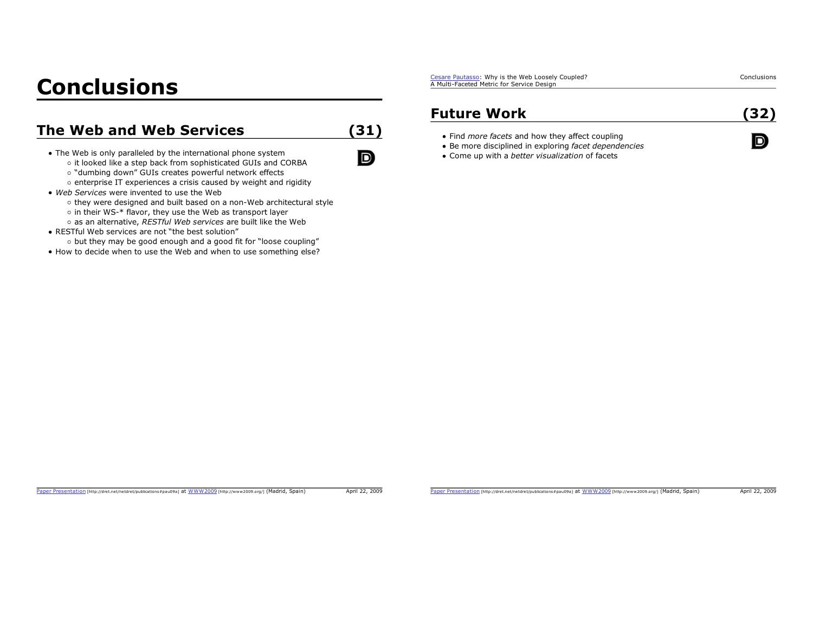# **Conclusions**

## **The Web and Web Services**

• The Web is only paralleled by the international phone system

- o it looked like a step back from sophisticated GUIs and CORBA
- o "dumbing down" GUIs creates powerful network effects
- $\circ$  enterprise IT experiences a crisis caused by weight and rigidity
- *Web Services* were invented to use the Web
	- o they were designed and built based on a non-Web architectural style
	- o in their WS-\* flavor, they use the Web as transport layer
	- as an alternative, *RESTful Web services* are built like the Web
- RESTful Web services are not "the best solution"
- o but they may be good enough and a good fit for "loose coupling"
- $\bullet$  How to decide when to use the Web and when to use something else?

Cesare Pautasso: Why is the Web Loosely Coupled? A Multi-Faceted Metric for Service Design

### **Future Work**

**(31)**

D

- Find *more facets* and how they affect coupling
- Be more disciplined in exploring *facet dependencies*
- Come up with a *better visualization* of facets

Paper Presentation [http://dret.net/netdret/publications#pau09a] at WWW2009 [http://www2009.org/] (Madrid, Spain) April 22, 2009

Conclusions

**(32)**

D